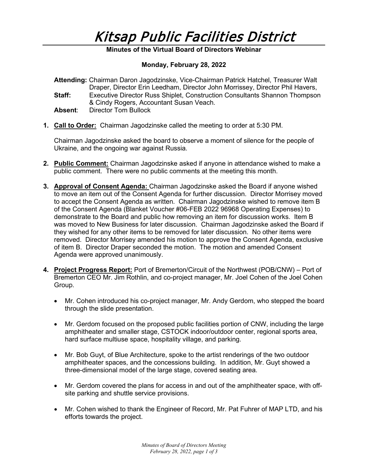# Kitsap Public Facilities District

## **Minutes of the Virtual Board of Directors Webinar**

### **Monday, February 28, 2022**

|         | Attending: Chairman Daron Jagodzinske, Vice-Chairman Patrick Hatchel, Treasurer Walt |
|---------|--------------------------------------------------------------------------------------|
|         | Draper, Director Erin Leedham, Director John Morrissey, Director Phil Havers,        |
| Staff:  | Executive Director Russ Shiplet, Construction Consultants Shannon Thompson           |
|         | & Cindy Rogers, Accountant Susan Veach.                                              |
| Absent: | Director Tom Bullock                                                                 |

**1. Call to Order:** Chairman Jagodzinske called the meeting to order at 5:30 PM.

Chairman Jagodzinske asked the board to observe a moment of silence for the people of Ukraine, and the ongoing war against Russia.

- **2. Public Comment:** Chairman Jagodzinske asked if anyone in attendance wished to make a public comment. There were no public comments at the meeting this month.
- **3. Approval of Consent Agenda:** Chairman Jagodzinske asked the Board if anyone wished to move an item out of the Consent Agenda for further discussion. Director Morrisey moved to accept the Consent Agenda as written. Chairman Jagodzinske wished to remove item B of the Consent Agenda (Blanket Voucher #06-FEB 2022 96968 Operating Expenses) to demonstrate to the Board and public how removing an item for discussion works. Item B was moved to New Business for later discussion. Chairman Jagodzinske asked the Board if they wished for any other items to be removed for later discussion. No other items were removed. Director Morrisey amended his motion to approve the Consent Agenda, exclusive of item B. Director Draper seconded the motion. The motion and amended Consent Agenda were approved unanimously.
- **4. Project Progress Report:** Port of Bremerton/Circuit of the Northwest (POB/CNW) Port of Bremerton CEO Mr. Jim Rothlin, and co-project manager, Mr. Joel Cohen of the Joel Cohen Group.
	- Mr. Cohen introduced his co-project manager, Mr. Andy Gerdom, who stepped the board through the slide presentation.
	- Mr. Gerdom focused on the proposed public facilities portion of CNW, including the large amphitheater and smaller stage, CSTOCK indoor/outdoor center, regional sports area, hard surface multiuse space, hospitality village, and parking.
	- Mr. Bob Guyt, of Blue Architecture, spoke to the artist renderings of the two outdoor amphitheater spaces, and the concessions building. In addition, Mr. Guyt showed a three-dimensional model of the large stage, covered seating area.
	- Mr. Gerdom covered the plans for access in and out of the amphitheater space, with offsite parking and shuttle service provisions.
	- Mr. Cohen wished to thank the Engineer of Record, Mr. Pat Fuhrer of MAP LTD, and his efforts towards the project.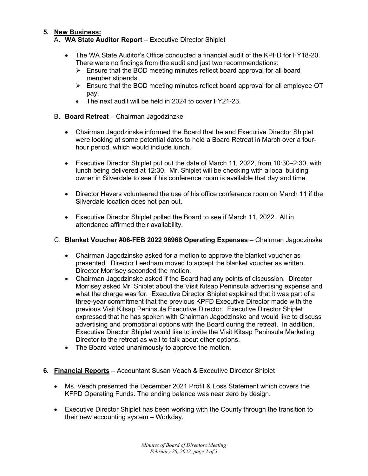# **5. New Business:**

- A. **WA State Auditor Report** Executive Director Shiplet
	- The WA State Auditor's Office conducted a financial audit of the KPFD for FY18-20. There were no findings from the audit and just two recommendations:
		- $\triangleright$  Ensure that the BOD meeting minutes reflect board approval for all board member stipends.
		- Ensure that the BOD meeting minutes reflect board approval for all employee OT pay.
		- The next audit will be held in 2024 to cover FY21-23.
- B. **Board Retreat** Chairman Jagodzinzke
	- Chairman Jagodzinske informed the Board that he and Executive Director Shiplet were looking at some potential dates to hold a Board Retreat in March over a fourhour period, which would include lunch.
	- Executive Director Shiplet put out the date of March 11, 2022, from 10:30–2:30, with lunch being delivered at 12:30. Mr. Shiplet will be checking with a local building owner in Silverdale to see if his conference room is available that day and time.
	- Director Havers volunteered the use of his office conference room on March 11 if the Silverdale location does not pan out.
	- Executive Director Shiplet polled the Board to see if March 11, 2022. All in attendance affirmed their availability.
- C. **Blanket Voucher #06-FEB 2022 96968 Operating Expenses** Chairman Jagodzinske
	- Chairman Jagodzinske asked for a motion to approve the blanket voucher as presented. Director Leedham moved to accept the blanket voucher as written. Director Morrisey seconded the motion.
	- Chairman Jagodzinske asked if the Board had any points of discussion. Director Morrisey asked Mr. Shiplet about the Visit Kitsap Peninsula advertising expense and what the charge was for. Executive Director Shiplet explained that it was part of a three-year commitment that the previous KPFD Executive Director made with the previous Visit Kitsap Peninsula Executive Director. Executive Director Shiplet expressed that he has spoken with Chairman Jagodzinske and would like to discuss advertising and promotional options with the Board during the retreat. In addition, Executive Director Shiplet would like to invite the Visit Kitsap Peninsula Marketing Director to the retreat as well to talk about other options.
	- The Board voted unanimously to approve the motion.
- **6. Financial Reports** Accountant Susan Veach & Executive Director Shiplet
	- Ms. Veach presented the December 2021 Profit & Loss Statement which covers the KFPD Operating Funds. The ending balance was near zero by design.
	- Executive Director Shiplet has been working with the County through the transition to their new accounting system – Workday.